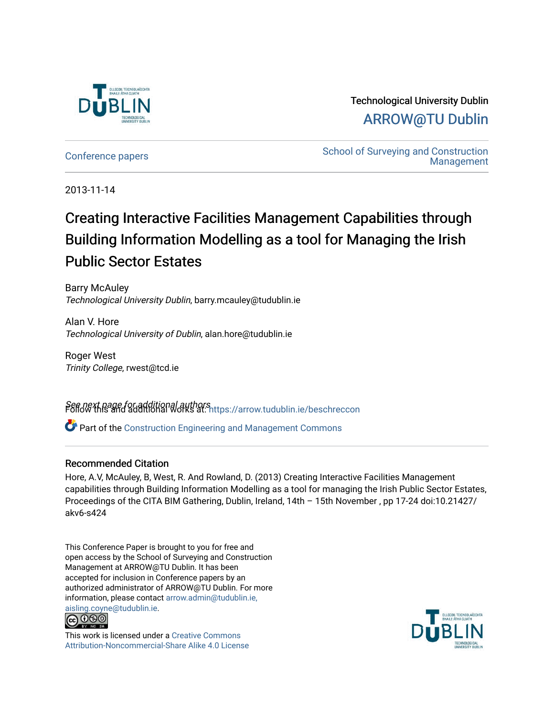

Technological University Dublin [ARROW@TU Dublin](https://arrow.tudublin.ie/) 

[Conference papers](https://arrow.tudublin.ie/beschreccon) **School of Surveying and Construction** [Management](https://arrow.tudublin.ie/beschrec) 

2013-11-14

# Creating Interactive Facilities Management Capabilities through Building Information Modelling as a tool for Managing the Irish Public Sector Estates

Barry McAuley Technological University Dublin, barry.mcauley@tudublin.ie

Alan V. Hore Technological University of Dublin, alan.hore@tudublin.ie

Roger West Trinity College, rwest@tcd.ie

See next page for additional authors Follow this and additional works at: [https://arrow.tudublin.ie/beschreccon](https://arrow.tudublin.ie/beschreccon?utm_source=arrow.tudublin.ie%2Fbeschreccon%2F50&utm_medium=PDF&utm_campaign=PDFCoverPages)

Part of the [Construction Engineering and Management Commons](http://network.bepress.com/hgg/discipline/253?utm_source=arrow.tudublin.ie%2Fbeschreccon%2F50&utm_medium=PDF&utm_campaign=PDFCoverPages)

#### Recommended Citation

Hore, A.V, McAuley, B, West, R. And Rowland, D. (2013) Creating Interactive Facilities Management capabilities through Building Information Modelling as a tool for managing the Irish Public Sector Estates, Proceedings of the CITA BIM Gathering, Dublin, Ireland, 14th – 15th November , pp 17-24 doi:10.21427/ akv6-s424

This Conference Paper is brought to you for free and open access by the School of Surveying and Construction Management at ARROW@TU Dublin. It has been accepted for inclusion in Conference papers by an authorized administrator of ARROW@TU Dublin. For more information, please contact [arrow.admin@tudublin.ie,](mailto:arrow.admin@tudublin.ie,%20aisling.coyne@tudublin.ie) 



This work is licensed under a [Creative Commons](http://creativecommons.org/licenses/by-nc-sa/4.0/) [Attribution-Noncommercial-Share Alike 4.0 License](http://creativecommons.org/licenses/by-nc-sa/4.0/)

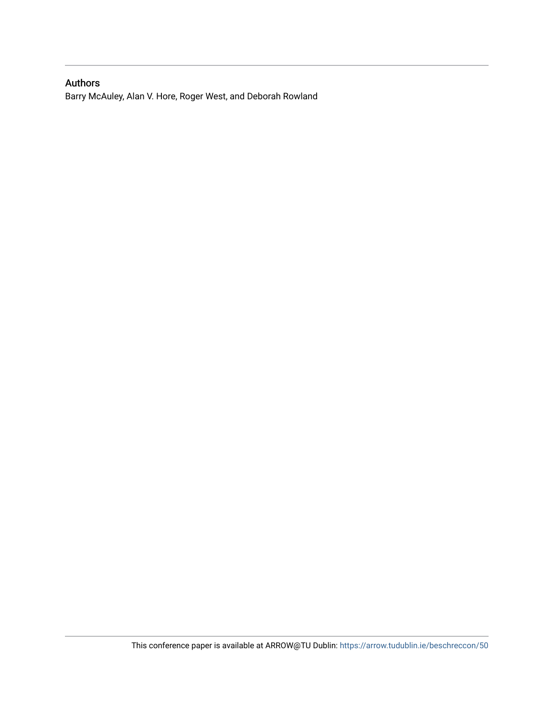## Authors

Barry McAuley, Alan V. Hore, Roger West, and Deborah Rowland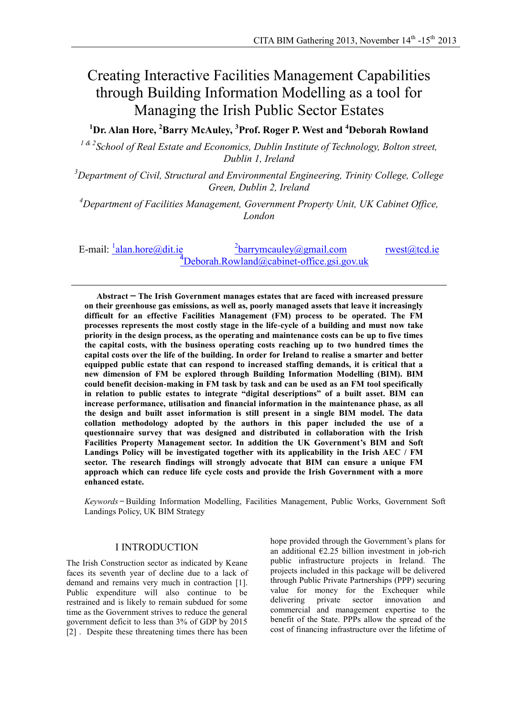## Creating Interactive Facilities Management Capabilities through Building Information Modelling as a tool for Managing the Irish Public Sector Estates

**<sup>1</sup>Dr. Alan Hore, <sup>2</sup>Barry McAuley, <sup>3</sup> Prof. Roger P. West and <sup>4</sup>Deborah Rowland**

*1 & 2School of Real Estate and Economics, Dublin Institute of Technology, Bolton street, Dublin 1, Ireland* 

*<sup>3</sup>Department of Civil, Structural and Environmental Engineering, Trinity College, College Green, Dublin 2, Ireland*

*<sup>4</sup>Department of Facilities Management, Government Property Unit, UK Cabinet Office, London*

E-mail:  $\frac{1 \text{alan.hore@dit} \cdot \text{le}}{2}$  $^{2}$ [barrymcauley@gmail.com](mailto:2barrymcauley@gmail.com) [rwest@tcd.ie](mailto:rwest@tcd.ie)  $\rm ^4$ [Deborah.Rowland@cabinet-office.gsi.gov.uk](mailto:Deborah.Rowland@cabinet-office.gsi.gov.uk)

**Abstract ̶ The Irish Government manages estates that are faced with increased pressure on their greenhouse gas emissions, as well as, poorly managed assets that leave it increasingly difficult for an effective Facilities Management (FM) process to be operated. The FM processes represents the most costly stage in the life-cycle of a building and must now take priority in the design process, as the operating and maintenance costs can be up to five times the capital costs, with the business operating costs reaching up to two hundred times the capital costs over the life of the building. In order for Ireland to realise a smarter and better equipped public estate that can respond to increased staffing demands, it is critical that a new dimension of FM be explored through Building Information Modelling (BIM). BIM could benefit decision-making in FM task by task and can be used as an FM tool specifically in relation to public estates to integrate "digital descriptions" of a built asset. BIM can increase performance, utilisation and financial information in the maintenance phase, as all the design and built asset information is still present in a single BIM model. The data collation methodology adopted by the authors in this paper included the use of a questionnaire survey that was designed and distributed in collaboration with the Irish Facilities Property Management sector. In addition the UK Government's BIM and Soft Landings Policy will be investigated together with its applicability in the Irish AEC / FM sector. The research findings will strongly advocate that BIM can ensure a unique FM approach which can reduce life cycle costs and provide the Irish Government with a more enhanced estate.**

*Keywords* **̶**Building Information Modelling, Facilities Management, Public Works, Government Soft Landings Policy, UK BIM Strategy

#### I INTRODUCTION

The Irish Construction sector as indicated by Keane faces its seventh year of decline due to a lack of demand and remains very much in contraction [1]. Public expenditure will also continue to be restrained and is likely to remain subdued for some time as the Government strives to reduce the general government deficit to less than 3% of GDP by 2015 [2] . Despite these threatening times there has been

hope provided through the Government's plans for an additional  $E2.25$  billion investment in job-rich public infrastructure projects in Ireland. The projects included in this package will be delivered through Public Private Partnerships (PPP) securing value for money for the Exchequer while delivering private sector innovation and commercial and management expertise to the benefit of the State. PPPs allow the spread of the cost of financing infrastructure over the lifetime of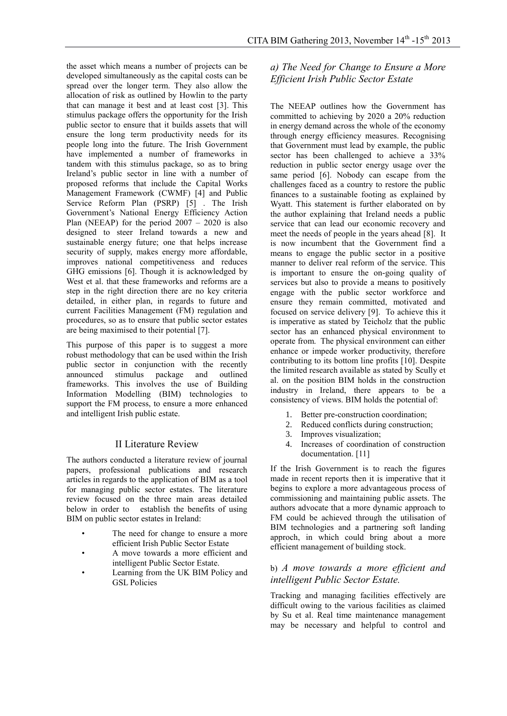the asset which means a number of projects can be developed simultaneously as the capital costs can be spread over the longer term. They also allow the allocation of risk as outlined by Howlin to the party that can manage it best and at least cost [3]. This stimulus package offers the opportunity for the Irish public sector to ensure that it builds assets that will ensure the long term productivity needs for its people long into the future. The Irish Government have implemented a number of frameworks in tandem with this stimulus package, so as to bring Ireland's public sector in line with a number of proposed reforms that include the Capital Works Management Framework (CWMF) [4] and Public Service Reform Plan (PSRP) [5]. The Irish Government's National Energy Efficiency Action Plan (NEEAP) for the period 2007 – 2020 is also designed to steer Ireland towards a new and sustainable energy future; one that helps increase security of supply, makes energy more affordable, improves national competitiveness and reduces GHG emissions [6]. Though it is acknowledged by West et al. that these frameworks and reforms are a step in the right direction there are no key criteria detailed, in either plan, in regards to future and current Facilities Management (FM) regulation and procedures, so as to ensure that public sector estates are being maximised to their potential [7].

This purpose of this paper is to suggest a more robust methodology that can be used within the Irish public sector in conjunction with the recently announced stimulus package and outlined frameworks. This involves the use of Building Information Modelling (BIM) technologies to support the FM process, to ensure a more enhanced and intelligent Irish public estate.

#### II Literature Review

The authors conducted a literature review of journal papers, professional publications and research articles in regards to the application of BIM as a tool for managing public sector estates. The literature review focused on the three main areas detailed below in order to establish the benefits of using BIM on public sector estates in Ireland:

- The need for change to ensure a more efficient Irish Public Sector Estate
- A move towards a more efficient and intelligent Public Sector Estate.
- Learning from the UK BIM Policy and GSL Policies

## *a) The Need for Change to Ensure a More Efficient Irish Public Sector Estate*

The NEEAP outlines how the Government has committed to achieving by 2020 a 20% reduction in energy demand across the whole of the economy through energy efficiency measures. Recognising that Government must lead by example, the public sector has been challenged to achieve a 33% reduction in public sector energy usage over the same period [6]. Nobody can escape from the challenges faced as a country to restore the public finances to a sustainable footing as explained by Wyatt. This statement is further elaborated on by the author explaining that Ireland needs a public service that can lead our economic recovery and meet the needs of people in the years ahead [8]. It is now incumbent that the Government find a means to engage the public sector in a positive manner to deliver real reform of the service. This is important to ensure the on-going quality of services but also to provide a means to positively engage with the public sector workforce and ensure they remain committed, motivated and focused on service delivery [9]. To achieve this it is imperative as stated by Teicholz that the public sector has an enhanced physical environment to operate from. The physical environment can either enhance or impede worker productivity, therefore contributing to its bottom line profits [10]. Despite the limited research available as stated by Scully et al. on the position BIM holds in the construction industry in Ireland, there appears to be a consistency of views. BIM holds the potential of:

- 1. Better pre-construction coordination;
- 2. Reduced conflicts during construction;
- 3. Improves visualization;
- 4. Increases of coordination of construction documentation. [11]

If the Irish Government is to reach the figures made in recent reports then it is imperative that it begins to explore a more advantageous process of commissioning and maintaining public assets. The authors advocate that a more dynamic approach to FM could be achieved through the utilisation of BIM technologies and a partnering soft landing approch, in which could bring about a more efficient management of building stock.

#### b) *A move towards a more efficient and intelligent Public Sector Estate.*

Tracking and managing facilities effectively are difficult owing to the various facilities as claimed by Su et al. Real time maintenance management may be necessary and helpful to control and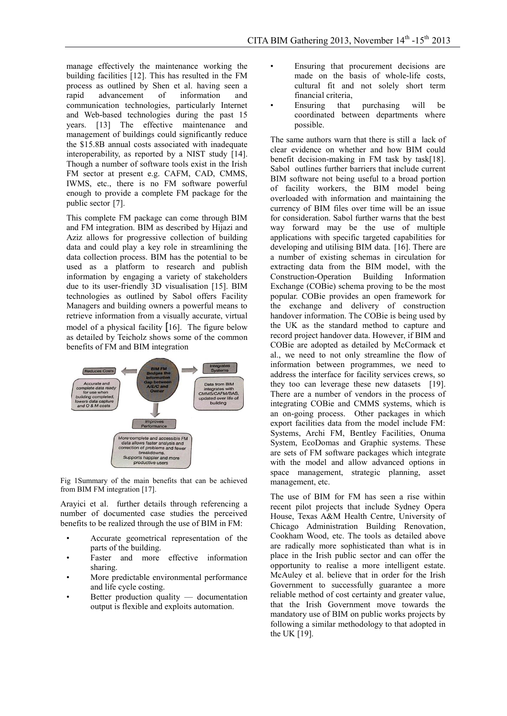manage effectively the maintenance working the building facilities [12]. This has resulted in the FM process as outlined by Shen et al. having seen a rapid advancement of information and communication technologies, particularly Internet and Web-based technologies during the past 15 years. [13] The effective maintenance and management of buildings could significantly reduce the \$15.8B annual costs associated with inadequate interoperability, as reported by a NIST study [14]. Though a number of software tools exist in the Irish FM sector at present e.g. CAFM, CAD, CMMS, IWMS, etc., there is no FM software powerful enough to provide a complete FM package for the public sector [7].

This complete FM package can come through BIM and FM integration. BIM as described by Hijazi and Aziz allows for progressive collection of building data and could play a key role in streamlining the data collection process. BIM has the potential to be used as a platform to research and publish information by engaging a variety of stakeholders due to its user-friendly 3D visualisation [15]. BIM technologies as outlined by Sabol offers Facility Managers and building owners a powerful means to retrieve information from a visually accurate, virtual model of a physical facility [16]. The figure below as detailed by Teicholz shows some of the common benefits of FM and BIM integration



Fig 1Summary of the main benefits that can be achieved from BIM FM integration [17].

Arayici et al. further details through referencing a number of documented case studies the perceived benefits to be realized through the use of BIM in FM:

- Accurate geometrical representation of the parts of the building.
- Faster and more effective information sharing.
- More predictable environmental performance and life cycle costing.
- Better production quality  $-$  documentation output is flexible and exploits automation.
- Ensuring that procurement decisions are made on the basis of whole-life costs, cultural fit and not solely short term financial criteria,
- Ensuring that purchasing will be coordinated between departments where possible.

The same authors warn that there is still a lack of clear evidence on whether and how BIM could benefit decision-making in FM task by task[18]. Sabol outlines further barriers that include current BIM software not being useful to a broad portion of facility workers, the BIM model being overloaded with information and maintaining the currency of BIM files over time will be an issue for consideration. Sabol further warns that the best way forward may be the use of multiple applications with specific targeted capabilities for developing and utilising BIM data. [16]. There are a number of existing schemas in circulation for extracting data from the BIM model, with the Construction-Operation Building Information Exchange (COBie) schema proving to be the most popular. COBie provides an open framework for the exchange and delivery of construction handover information. The COBie is being used by the UK as the standard method to capture and record project handover data. However, if BIM and COBie are adopted as detailed by McCormack et al., we need to not only streamline the flow of information between programmes, we need to address the interface for facility services crews, so they too can leverage these new datasets [19]. There are a number of vendors in the process of integrating COBie and CMMS systems, which is an on-going process. Other packages in which export facilities data from the model include FM: Systems, Archi FM, Bentley Facilities, Onuma System, EcoDomas and Graphic systems. These are sets of FM software packages which integrate with the model and allow advanced options in space management, strategic planning, asset management, etc.

The use of BIM for FM has seen a rise within recent pilot projects that include Sydney Opera House, Texas A&M Health Centre, University of Chicago Administration Building Renovation, Cookham Wood, etc. The tools as detailed above are radically more sophisticated than what is in place in the Irish public sector and can offer the opportunity to realise a more intelligent estate. McAuley et al. believe that in order for the Irish Government to successfully guarantee a more reliable method of cost certainty and greater value, that the Irish Government move towards the mandatory use of BIM on public works projects by following a similar methodology to that adopted in the UK [19].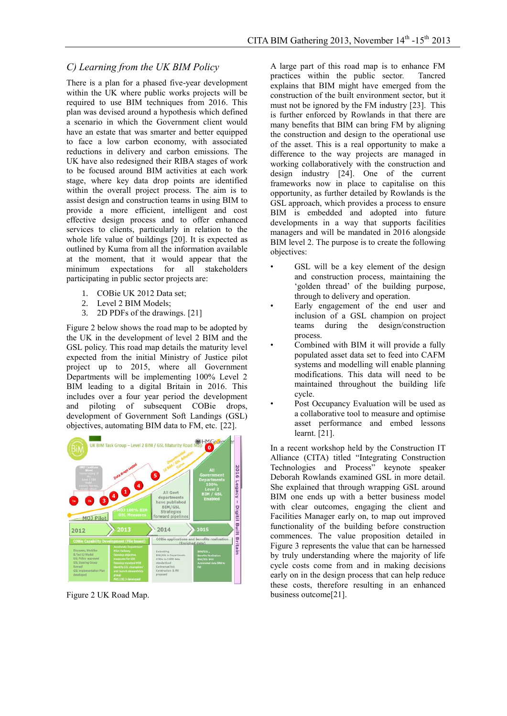#### *C) Learning from the UK BIM Policy*

There is a plan for a phased five-year development within the UK where public works projects will be required to use BIM techniques from 2016. This plan was devised around a hypothesis which defined a scenario in which the Government client would have an estate that was smarter and better equipped to face a low carbon economy, with associated reductions in delivery and carbon emissions. The UK have also redesigned their RIBA stages of work to be focused around BIM activities at each work stage, where key data drop points are identified within the overall project process. The aim is to assist design and construction teams in using BIM to provide a more efficient, intelligent and cost effective design process and to offer enhanced services to clients, particularly in relation to the whole life value of buildings [20]. It is expected as outlined by Kuma from all the information available at the moment, that it would appear that the minimum expectations for all stakeholders participating in public sector projects are:

- 1. COBie UK 2012 Data set;
- 2. Level 2 BIM Models;
- 3. 2D PDFs of the drawings. [21]

Figure 2 below shows the road map to be adopted by the UK in the development of level 2 BIM and the GSL policy. This road map details the maturity level expected from the initial Ministry of Justice pilot project up to 2015, where all Government Departments will be implementing 100% Level 2 BIM leading to a digital Britain in 2016. This includes over a four year period the development and piloting of subsequent COBie drops, development of Government Soft Landings (GSL) objectives, automating BIM data to FM, etc. [22].



Figure 2 UK Road Map.

A large part of this road map is to enhance FM practices within the public sector. Tancred explains that BIM might have emerged from the construction of the built environment sector, but it must not be ignored by the FM industry [23]. This is further enforced by Rowlands in that there are many benefits that BIM can bring FM by aligning the construction and design to the operational use of the asset. This is a real opportunity to make a difference to the way projects are managed in working collaboratively with the construction and design industry [24]. One of the current frameworks now in place to capitalise on this opportunity, as further detailed by Rowlands is the GSL approach, which provides a process to ensure BIM is embedded and adopted into future developments in a way that supports facilities managers and will be mandated in 2016 alongside BIM level 2. The purpose is to create the following objectives:

- GSL will be a key element of the design and construction process, maintaining the 'golden thread' of the building purpose, through to delivery and operation.
- Early engagement of the end user and inclusion of a GSL champion on project teams during the design/construction process.
- Combined with BIM it will provide a fully populated asset data set to feed into CAFM systems and modelling will enable planning modifications. This data will need to be maintained throughout the building life cycle.
- Post Occupancy Evaluation will be used as a collaborative tool to measure and optimise asset performance and embed lessons learnt. [21].

In a recent workshop held by the Construction IT Alliance (CITA) titled "Integrating Construction Technologies and Process" keynote speaker Deborah Rowlands examined GSL in more detail. She explained that through wrapping GSL around BIM one ends up with a better business model with clear outcomes, engaging the client and Facilities Manager early on, to map out improved functionality of the building before construction commences. The value proposition detailed in Figure 3 represents the value that can be harnessed by truly understanding where the majority of life cycle costs come from and in making decisions early on in the design process that can help reduce these costs, therefore resulting in an enhanced business outcome[21].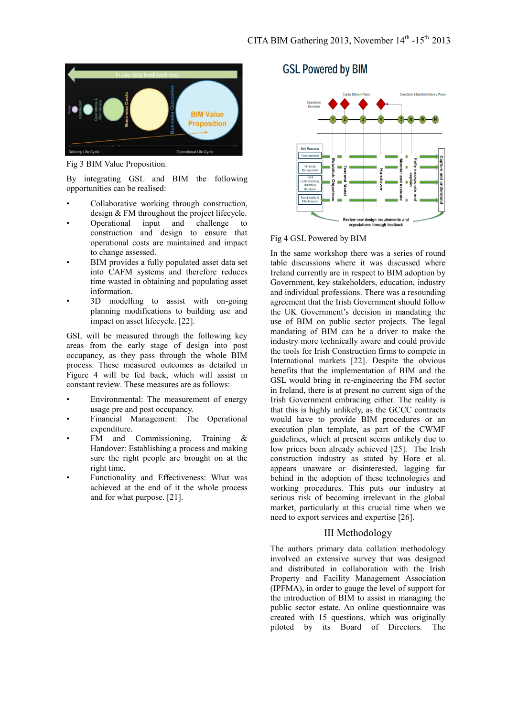

Fig 3 BIM Value Proposition.

By integrating GSL and BIM the following opportunities can be realised:

- Collaborative working through construction, design & FM throughout the project lifecycle.
- Operational input and challenge to construction and design to ensure that operational costs are maintained and impact to change assessed.
- BIM provides a fully populated asset data set into CAFM systems and therefore reduces time wasted in obtaining and populating asset information.
- 3D modelling to assist with on-going planning modifications to building use and impact on asset lifecycle. [22].

GSL will be measured through the following key areas from the early stage of design into post occupancy, as they pass through the whole BIM process. These measured outcomes as detailed in Figure 4 will be fed back, which will assist in constant review. These measures are as follows:

- Environmental: The measurement of energy usage pre and post occupancy.
- Financial Management: The Operational expenditure.
- $FM$  and Commissioning, Training  $\&$ Handover: Establishing a process and making sure the right people are brought on at the right time.
- Functionality and Effectiveness: What was achieved at the end of it the whole process and for what purpose. [21].

## **GSL Powered by BIM**



#### Fig 4 GSL Powered by BIM

In the same workshop there was a series of round table discussions where it was discussed where Ireland currently are in respect to BIM adoption by Government, key stakeholders, education, industry and individual professions. There was a resounding agreement that the Irish Government should follow the UK Government's decision in mandating the use of BIM on public sector projects. The legal mandating of BIM can be a driver to make the industry more technically aware and could provide the tools for Irish Construction firms to compete in International markets [22]. Despite the obvious benefits that the implementation of BIM and the GSL would bring in re-engineering the FM sector in Ireland, there is at present no current sign of the Irish Government embracing either. The reality is that this is highly unlikely, as the GCCC contracts would have to provide BIM procedures or an execution plan template, as part of the CWMF guidelines, which at present seems unlikely due to low prices been already achieved [25]. The Irish construction industry as stated by Hore et al. appears unaware or disinterested, lagging far behind in the adoption of these technologies and working procedures. This puts our industry at serious risk of becoming irrelevant in the global market, particularly at this crucial time when we need to export services and expertise [26].

#### III Methodology

The authors primary data collation methodology involved an extensive survey that was designed and distributed in collaboration with the Irish Property and Facility Management Association (IPFMA), in order to gauge the level of support for the introduction of BIM to assist in managing the public sector estate. An online questionnaire was created with 15 questions, which was originally piloted by its Board of Directors. The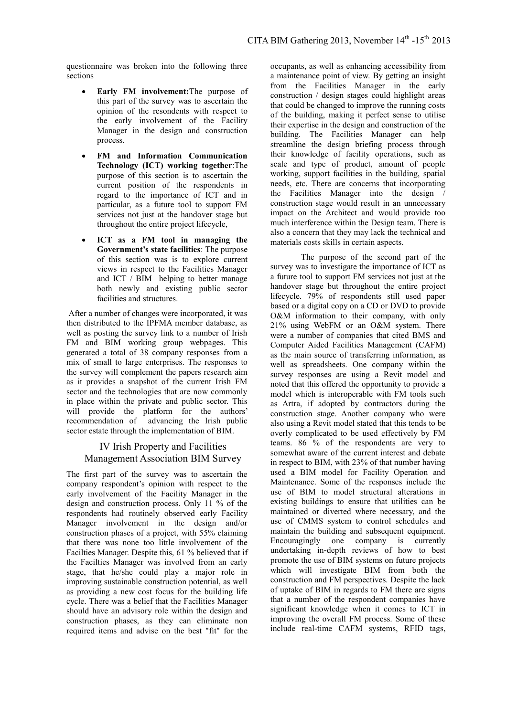questionnaire was broken into the following three sections

- **Early FM involvement:**The purpose of this part of the survey was to ascertain the opinion of the resondents with respect to the early involvement of the Facility Manager in the design and construction process.
- **FM and Information Communication Technology (ICT) working together**:The purpose of this section is to ascertain the current position of the respondents in regard to the importance of ICT and in particular, as a future tool to support FM services not just at the handover stage but throughout the entire project lifecycle,
- **ICT as a FM tool in managing the Government's state facilities**: The purpose of this section was is to explore current views in respect to the Facilities Manager and ICT / BIM helping to better manage both newly and existing public sector facilities and structures.

After a number of changes were incorporated, it was then distributed to the IPFMA member database, as well as posting the survey link to a number of Irish FM and BIM working group webpages. This generated a total of 38 company responses from a mix of small to large enterprises. The responses to the survey will complement the papers research aim as it provides a snapshot of the current Irish FM sector and the technologies that are now commonly in place within the private and public sector. This will provide the platform for the authors' recommendation of advancing the Irish public sector estate through the implementation of BIM.

#### IV Irish Property and Facilities Management Association BIM Survey

The first part of the survey was to ascertain the company respondent's opinion with respect to the early involvement of the Facility Manager in the design and construction process. Only 11 % of the respondents had routinely observed early Facility Manager involvement in the design and/or construction phases of a project, with 55% claiming that there was none too little involvement of the Facilties Manager. Despite this, 61 % believed that if the Facilties Manager was involved from an early stage, that he/she could play a major role in improving sustainable construction potential, as well as providing a new cost focus for the building life cycle. There was a belief that the Facilities Manager should have an advisory role within the design and construction phases, as they can eliminate non required items and advise on the best "fit" for the

occupants, as well as enhancing accessibility from a maintenance point of view. By getting an insight from the Facilities Manager in the early construction / design stages could highlight areas that could be changed to improve the running costs of the building, making it perfect sense to utilise their expertise in the design and construction of the building. The Facilities Manager can help streamline the design briefing process through their knowledge of facility operations, such as scale and type of product, amount of people working, support facilities in the building, spatial needs, etc. There are concerns that incorporating the Facilities Manager into the design / construction stage would result in an unnecessary impact on the Architect and would provide too much interference within the Design team. There is also a concern that they may lack the technical and materials costs skills in certain aspects.

The purpose of the second part of the survey was to investigate the importance of ICT as a future tool to support FM services not just at the handover stage but throughout the entire project lifecycle. 79% of respondents still used paper based or a digital copy on a CD or DVD to provide O&M information to their company, with only 21% using WebFM or an O&M system. There were a number of companies that cited BMS and Computer Aided Facilities Management (CAFM) as the main source of transferring information, as well as spreadsheets. One company within the survey responses are using a Revit model and noted that this offered the opportunity to provide a model which is interoperable with FM tools such as Artra, if adopted by contractors during the construction stage. Another company who were also using a Revit model stated that this tends to be overly complicated to be used effectively by FM teams. 86 % of the respondents are very to somewhat aware of the current interest and debate in respect to BIM, with 23% of that number having used a BIM model for Facility Operation and Maintenance. Some of the responses include the use of BIM to model structural alterations in existing buildings to ensure that utilities can be maintained or diverted where necessary, and the use of CMMS system to control schedules and maintain the building and subsequent equipment. Encouragingly one company is currently undertaking in-depth reviews of how to best promote the use of BIM systems on future projects which will investigate BIM from both the construction and FM perspectives. Despite the lack of uptake of BIM in regards to FM there are signs that a number of the respondent companies have significant knowledge when it comes to ICT in improving the overall FM process. Some of these include real-time CAFM systems, RFID tags,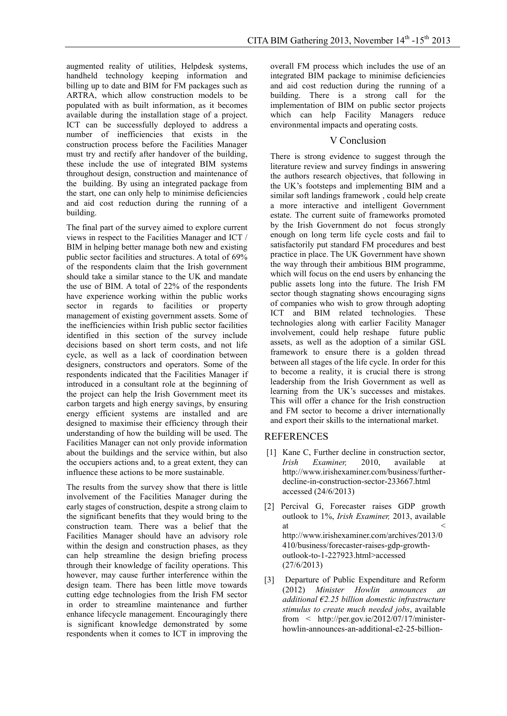augmented reality of utilities, Helpdesk systems, handheld technology keeping information and billing up to date and BIM for FM packages such as ARTRA, which allow construction models to be populated with as built information, as it becomes available during the installation stage of a project. ICT can be successfully deployed to address a number of inefficiencies that exists in the construction process before the Facilities Manager must try and rectify after handover of the building, these include the use of integrated BIM systems throughout design, construction and maintenance of the building. By using an integrated package from the start, one can only help to minimise deficiencies and aid cost reduction during the running of a building.

The final part of the survey aimed to explore current views in respect to the Facilities Manager and ICT / BIM in helping better manage both new and existing public sector facilities and structures. A total of 69% of the respondents claim that the Irish government should take a similar stance to the UK and mandate the use of BIM. A total of 22% of the respondents have experience working within the public works sector in regards to facilities or property management of existing government assets. Some of the inefficiencies within Irish public sector facilities identified in this section of the survey include decisions based on short term costs, and not life cycle, as well as a lack of coordination between designers, constructors and operators. Some of the respondents indicated that the Facilities Manager if introduced in a consultant role at the beginning of the project can help the Irish Government meet its carbon targets and high energy savings, by ensuring energy efficient systems are installed and are designed to maximise their efficiency through their understanding of how the building will be used. The Facilities Manager can not only provide information about the buildings and the service within, but also the occupiers actions and, to a great extent, they can influence these actions to be more sustainable.

The results from the survey show that there is little involvement of the Facilities Manager during the early stages of construction, despite a strong claim to the significant benefits that they would bring to the construction team. There was a belief that the Facilities Manager should have an advisory role within the design and construction phases, as they can help streamline the design briefing process through their knowledge of facility operations. This however, may cause further interference within the design team. There has been little move towards cutting edge technologies from the Irish FM sector in order to streamline maintenance and further enhance lifecycle management. Encouragingly there is significant knowledge demonstrated by some respondents when it comes to ICT in improving the

overall FM process which includes the use of an integrated BIM package to minimise deficiencies and aid cost reduction during the running of a building. There is a strong call for the implementation of BIM on public sector projects which can help Facility Managers reduce environmental impacts and operating costs.

#### V Conclusion

There is strong evidence to suggest through the literature review and survey findings in answering the authors research objectives, that following in the UK's footsteps and implementing BIM and a similar soft landings framework , could help create a more interactive and intelligent Government estate. The current suite of frameworks promoted by the Irish Government do not focus strongly enough on long term life cycle costs and fail to satisfactorily put standard FM procedures and best practice in place. The UK Government have shown the way through their ambitious BIM programme, which will focus on the end users by enhancing the public assets long into the future. The Irish FM sector though stagnating shows encouraging signs of companies who wish to grow through adopting ICT and BIM related technologies. These technologies along with earlier Facility Manager involvement, could help reshape future public assets, as well as the adoption of a similar GSL framework to ensure there is a golden thread between all stages of the life cycle. In order for this to become a reality, it is crucial there is strong leadership from the Irish Government as well as learning from the UK's successes and mistakes. This will offer a chance for the Irish construction and FM sector to become a driver internationally and export their skills to the international market.

#### **REFERENCES**

- [1] Kane C, Further decline in construction sector, *Irish Examiner,* 2010, available at http://www.irishexaminer.com/business/furtherdecline-in-construction-sector-233667.html accessed (24/6/2013)
- [2] Percival G, Forecaster raises GDP growth outlook to 1%, *Irish Examiner,* 2013, available at  $\leq$ http://www.irishexaminer.com/archives/2013/0 410/business/forecaster-raises-gdp-growthoutlook-to-1-227923.html>accessed (27/6/2013)
- [3] Departure of Public Expenditure and Reform (2012) *Minister Howlin announces an additional €2.25 billion domestic infrastructure stimulus to create much needed jobs*, available from < [http://per.gov.ie/2012/07/17/minister](http://per.gov.ie/2012/07/17/minister-howlin-announces-an-additional-e2-25-billion-domestic-infrastructure-stimulus-to-create-much-needed-jobs/)[howlin-announces-an-additional-e2-25-billion-](http://per.gov.ie/2012/07/17/minister-howlin-announces-an-additional-e2-25-billion-domestic-infrastructure-stimulus-to-create-much-needed-jobs/)